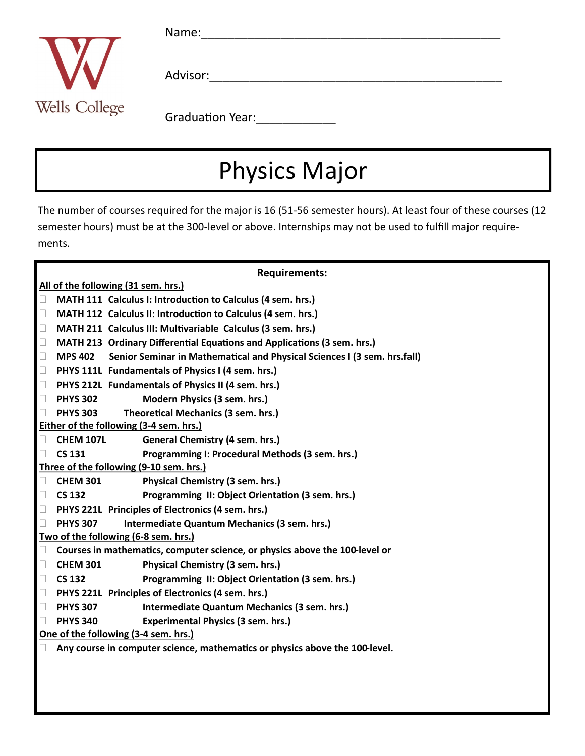

 $Name:$ 

Advisor:

Graduation Year:

# Physics Major

The number of courses required for the major is 16 (51-56 semester hours). At least four of these courses (12 semester hours) must be at the 300-level or above. Internships may not be used to fulfill major requirements.

#### **Requirements:**

**All of the following (31 sem. hrs.)**

- **MATH 111 Calculus I: Introduction to Calculus (4 sem. hrs.)**
- **MATH 112 Calculus II: Introduction to Calculus (4 sem. hrs.)**
- **MATH 211 Calculus III: Multivariable Calculus (3 sem. hrs.)**
- **MATH 213 Ordinary Differential Equations and Applications (3 sem. hrs.)**
- **MPS 402 Senior Seminar in Mathematical and Physical Sciences I (3 sem. hrs.fall)**
- **PHYS 111L Fundamentals of Physics I (4 sem. hrs.)**
- **PHYS 212L Fundamentals of Physics II (4 sem. hrs.)**
- **PHYS 302 Modern Physics (3 sem. hrs.)**
- **PHYS 303 Theoretical Mechanics (3 sem. hrs.)**

**Either of the following (3-4 sem. hrs.)**

- **CHEM 107L General Chemistry (4 sem. hrs.)**
- **CS 131 Programming I: Procedural Methods (3 sem. hrs.)**

**Three of the following (9-10 sem. hrs.)**

- **CHEM 301 Physical Chemistry (3 sem. hrs.)**
- **CS 132 Programming II: Object Orientation (3 sem. hrs.)**
- **PHYS 221L Principles of Electronics (4 sem. hrs.)**
- **PHYS 307 Intermediate Quantum Mechanics (3 sem. hrs.)**
- **Two of the following (6-8 sem. hrs.)**
- **Courses in mathematics, computer science, or physics above the 100-level or**
- **CHEM 301 Physical Chemistry (3 sem. hrs.)**
- **CS 132 Programming II: Object Orientation (3 sem. hrs.)**
- **PHYS 221L Principles of Electronics (4 sem. hrs.)**
- **PHYS 307 Intermediate Quantum Mechanics (3 sem. hrs.)**
- **PHYS 340 Experimental Physics (3 sem. hrs.)**
- **One of the following (3-4 sem. hrs.)**
- **Any course in computer science, mathematics or physics above the 100-level.**